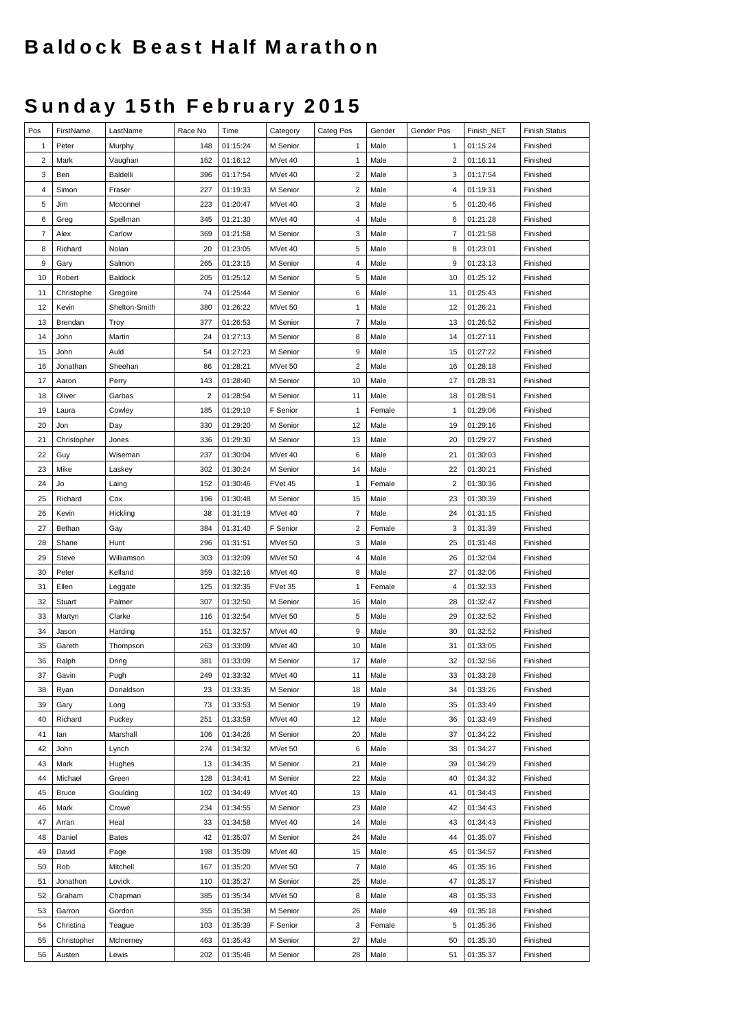## **Baldock Beast Half Marathon**

## **Sunday 15th February 2015**

| Pos                     | FirstName    | LastName      | Race No        | Time     | Category | Categ Pos               | Gender | Gender Pos           | Finish_NET | <b>Finish Status</b> |
|-------------------------|--------------|---------------|----------------|----------|----------|-------------------------|--------|----------------------|------------|----------------------|
| 1                       | Peter        | Murphy        | 148            | 01:15:24 | M Senior | $\mathbf{1}$            | Male   | 1                    | 01:15:24   | Finished             |
| $\overline{\mathbf{c}}$ | Mark         | Vaughan       | 162            | 01:16:12 | MVet 40  | $\mathbf{1}$            | Male   | $\overline{c}$       | 01:16:11   | Finished             |
| 3                       | Ben          | Baldelli      | 396            | 01:17:54 | MVet 40  | $\sqrt{2}$              | Male   | 3                    | 01:17:54   | Finished             |
| 4                       | Simon        | Fraser        | 227            | 01:19:33 | M Senior | $\overline{\mathbf{c}}$ | Male   | 4                    | 01:19:31   | Finished             |
| 5                       | Jim          | Mcconnel      | 223            | 01:20:47 | MVet 40  | 3                       | Male   | 5                    | 01:20:46   | Finished             |
| 6                       | Greg         | Spellman      | 345            | 01:21:30 | MVet 40  | 4                       | Male   | 6                    | 01:21:28   | Finished             |
| 7                       | Alex         | Carlow        | 369            | 01:21:58 | M Senior | 3                       | Male   | $\overline{7}$       | 01:21:58   | Finished             |
| 8                       | Richard      | Nolan         | 20             | 01:23:05 | MVet 40  | 5                       | Male   | 8                    | 01:23:01   | Finished             |
| 9                       | Gary         | Salmon        | 265            | 01:23:15 | M Senior | 4                       | Male   | 9                    | 01:23:13   | Finished             |
| 10                      | Robert       | Baldock       | 205            | 01:25:12 | M Senior | 5                       | Male   | 10                   | 01:25:12   | Finished             |
| 11                      | Christophe   | Gregoire      | 74             | 01:25:44 | M Senior | 6                       | Male   | 11                   | 01:25:43   | Finished             |
| 12                      | Kevin        | Shelton-Smith | 380            | 01:26:22 | MVet 50  | $\mathbf{1}$            | Male   | 12                   | 01:26:21   | Finished             |
| 13                      | Brendan      | Troy          | 377            | 01:26:53 | M Senior | $\overline{7}$          | Male   | 13                   | 01:26:52   | Finished             |
| 14                      | John         | Martin        | 24             | 01:27:13 | M Senior | 8                       | Male   | 14                   | 01:27:11   | Finished             |
| 15                      | John         | Auld          | 54             | 01:27:23 | M Senior | 9                       | Male   | 15                   | 01:27:22   | Finished             |
| 16                      | Jonathan     | Sheehan       | 86             | 01:28:21 | MVet 50  | $\sqrt{2}$              | Male   | 16                   | 01:28:18   | Finished             |
| 17                      | Aaron        | Perry         | 143            | 01:28:40 | M Senior | 10                      | Male   | 17                   | 01:28:31   | Finished             |
| 18                      | Oliver       | Garbas        | $\overline{2}$ | 01:28:54 | M Senior | 11                      | Male   | 18                   | 01:28:51   | Finished             |
| 19                      | Laura        | Cowley        | 185            | 01:29:10 | F Senior | $\mathbf{1}$            | Female | $\mathbf{1}$         | 01:29:06   | Finished             |
| 20                      | Jon          | Day           | 330            | 01:29:20 | M Senior | 12                      | Male   | 19                   | 01:29:16   | Finished             |
| 21                      | Christopher  | Jones         | 336            | 01:29:30 | M Senior | 13                      | Male   | 20                   | 01:29:27   | Finished             |
| 22                      |              | Wiseman       |                |          |          | 6                       | Male   | 21                   | 01:30:03   |                      |
| 23                      | Guy          |               | 237            | 01:30:04 | MVet 40  |                         |        |                      |            | Finished             |
|                         | Mike         | Laskey        | 302            | 01:30:24 | M Senior | 14                      | Male   | 22<br>$\overline{c}$ | 01:30:21   | Finished             |
| 24                      | Jo           | Laing         | 152            | 01:30:46 | FVet 45  | $\mathbf{1}$            | Female |                      | 01:30:36   | Finished             |
| 25                      | Richard      | Cox           | 196            | 01:30:48 | M Senior | 15                      | Male   | 23                   | 01:30:39   | Finished             |
| 26                      | Kevin        | Hickling      | 38             | 01:31:19 | MVet 40  | $\overline{7}$          | Male   | 24                   | 01:31:15   | Finished             |
| 27                      | Bethan       | Gay           | 384            | 01:31:40 | F Senior | $\sqrt{2}$              | Female | 3                    | 01:31:39   | Finished             |
| 28                      | Shane        | Hunt          | 296            | 01:31:51 | MVet 50  | 3                       | Male   | 25                   | 01:31:48   | Finished             |
| 29                      | <b>Steve</b> | Williamson    | 303            | 01:32:09 | MVet 50  | 4                       | Male   | 26                   | 01:32:04   | Finished             |
| 30                      | Peter        | Kelland       | 359            | 01:32:16 | MVet 40  | 8                       | Male   | 27                   | 01:32:06   | Finished             |
| 31                      | Ellen        | Leggate       | 125            | 01:32:35 | FVet 35  | $\mathbf{1}$            | Female | 4                    | 01:32:33   | Finished             |
| 32                      | Stuart       | Palmer        | 307            | 01:32:50 | M Senior | 16                      | Male   | 28                   | 01:32:47   | Finished             |
| 33                      | Martyn       | Clarke        | 116            | 01:32:54 | MVet 50  | 5                       | Male   | 29                   | 01:32:52   | Finished             |
| 34                      | Jason        | Harding       | 151            | 01:32:57 | MVet 40  | 9                       | Male   | 30                   | 01:32:52   | Finished             |
| 35                      | Gareth       | Thompson      | 263            | 01:33:09 | MVet 40  | 10                      | Male   | 31                   | 01:33:05   | Finished             |
| 36                      | Ralph        | Dring         | 381            | 01:33:09 | M Senior | 17                      | Male   | 32                   | 01:32:56   | Finished             |
| 37                      | Gavin        | Pugh          | 249            | 01:33:32 | MVet 40  | 11                      | Male   | 33                   | 01:33:28   | Finished             |
| 38                      | Ryan         | Donaldson     | 23             | 01:33:35 | M Senior | 18                      | Male   | 34                   | 01:33:26   | Finished             |
| 39                      | Gary         | Long          | 73             | 01:33:53 | M Senior | 19                      | Male   | 35                   | 01:33:49   | Finished             |
| 40                      | Richard      | Puckey        | 251            | 01:33:59 | MVet 40  | 12                      | Male   | 36                   | 01:33:49   | Finished             |
| 41                      | lan          | Marshall      | 106            | 01:34:26 | M Senior | 20                      | Male   | 37                   | 01:34:22   | Finished             |
| 42                      | John         | Lynch         | 274            | 01:34:32 | MVet 50  | 6                       | Male   | 38                   | 01:34:27   | Finished             |
| 43                      | Mark         | Hughes        | 13             | 01:34:35 | M Senior | 21                      | Male   | 39                   | 01:34:29   | Finished             |
| 44                      | Michael      | Green         | 128            | 01:34:41 | M Senior | 22                      | Male   | 40                   | 01:34:32   | Finished             |
| 45                      | <b>Bruce</b> | Goulding      | 102            | 01:34:49 | MVet 40  | 13                      | Male   | 41                   | 01:34:43   | Finished             |
| 46                      | Mark         | Crowe         | 234            | 01:34:55 | M Senior | 23                      | Male   | 42                   | 01:34:43   | Finished             |
| 47                      | Arran        | Heal          | 33             | 01:34:58 | MVet 40  | 14                      | Male   | 43                   | 01:34:43   | Finished             |
| 48                      | Daniel       | <b>Bates</b>  | 42             | 01:35:07 | M Senior | 24                      | Male   | 44                   | 01:35:07   | Finished             |
| 49                      | David        | Page          | 198            | 01:35:09 | MVet 40  | 15                      | Male   | 45                   | 01:34:57   | Finished             |
| 50                      | Rob          | Mitchell      | 167            | 01:35:20 | MVet 50  | $\overline{7}$          | Male   | 46                   | 01:35:16   | Finished             |
| 51                      | Jonathon     | Lovick        | 110            | 01:35:27 | M Senior | 25                      | Male   | 47                   | 01:35:17   | Finished             |
| 52                      | Graham       | Chapman       | 385            | 01:35:34 | MVet 50  | 8                       | Male   | 48                   | 01:35:33   | Finished             |
| 53                      | Garron       | Gordon        | 355            | 01:35:38 | M Senior | 26                      | Male   | 49                   | 01:35:18   | Finished             |
| 54                      | Christina    | Teague        | 103            | 01:35:39 | F Senior | 3                       | Female | 5                    | 01:35:36   | Finished             |
| 55                      | Christopher  | McInerney     | 463            | 01:35:43 | M Senior | 27                      | Male   | 50                   | 01:35:30   | Finished             |
| 56                      | Austen       | Lewis         | 202            | 01:35:46 | M Senior | 28                      | Male   | 51                   | 01:35:37   | Finished             |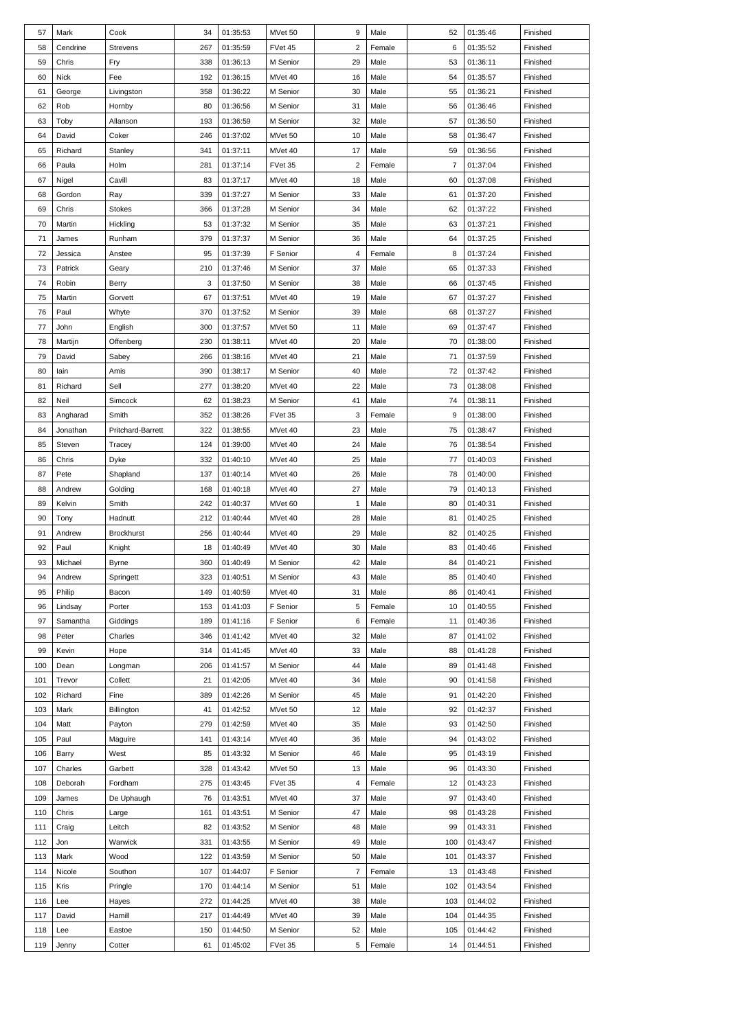| 57  | Mark        | Cook              | 34  | 01:35:53 | MVet 50  | 9                       | Male   | 52             | 01:35:46 | Finished |
|-----|-------------|-------------------|-----|----------|----------|-------------------------|--------|----------------|----------|----------|
| 58  | Cendrine    | <b>Strevens</b>   | 267 | 01:35:59 | FVet 45  | $\overline{\mathbf{c}}$ | Female | 6              | 01:35:52 | Finished |
| 59  | Chris       | Fry               | 338 | 01:36:13 | M Senior | 29                      | Male   | 53             | 01:36:11 | Finished |
| 60  | <b>Nick</b> | Fee               | 192 | 01:36:15 | MVet 40  | 16                      | Male   | 54             | 01:35:57 | Finished |
| 61  | George      | Livingston        | 358 | 01:36:22 | M Senior | 30                      | Male   | 55             | 01:36:21 | Finished |
| 62  | Rob         | Hornby            | 80  | 01:36:56 | M Senior | 31                      | Male   | 56             | 01:36:46 | Finished |
| 63  | Toby        | Allanson          | 193 | 01:36:59 | M Senior | 32                      | Male   | 57             | 01:36:50 | Finished |
|     |             |                   |     |          |          |                         |        |                |          |          |
| 64  | David       | Coker             | 246 | 01:37:02 | MVet 50  | 10                      | Male   | 58             | 01:36:47 | Finished |
| 65  | Richard     | Stanley           | 341 | 01:37:11 | MVet 40  | 17                      | Male   | 59             | 01:36:56 | Finished |
| 66  | Paula       | Holm              | 281 | 01:37:14 | FVet 35  | $\overline{2}$          | Female | $\overline{7}$ | 01:37:04 | Finished |
| 67  | Nigel       | Cavill            | 83  | 01:37:17 | MVet 40  | 18                      | Male   | 60             | 01:37:08 | Finished |
| 68  | Gordon      | Ray               | 339 | 01:37:27 | M Senior | 33                      | Male   | 61             | 01:37:20 | Finished |
| 69  | Chris       | <b>Stokes</b>     | 366 | 01:37:28 | M Senior | 34                      | Male   | 62             | 01:37:22 | Finished |
| 70  | Martin      | Hickling          | 53  | 01:37:32 | M Senior | 35                      | Male   | 63             | 01:37:21 | Finished |
| 71  | James       | Runham            | 379 | 01:37:37 | M Senior | 36                      | Male   | 64             | 01:37:25 | Finished |
| 72  | Jessica     | Anstee            | 95  | 01:37:39 | F Senior | 4                       | Female | 8              | 01:37:24 | Finished |
| 73  | Patrick     | Geary             | 210 | 01:37:46 | M Senior | 37                      | Male   | 65             | 01:37:33 | Finished |
| 74  | Robin       | Berry             | 3   | 01:37:50 | M Senior | 38                      | Male   | 66             | 01:37:45 | Finished |
| 75  | Martin      | Gorvett           | 67  | 01:37:51 | MVet 40  | 19                      | Male   | 67             | 01:37:27 | Finished |
| 76  | Paul        | Whyte             | 370 | 01:37:52 | M Senior | 39                      | Male   | 68             | 01:37:27 | Finished |
| 77  | John        | English           | 300 | 01:37:57 | MVet 50  | 11                      | Male   | 69             | 01:37:47 | Finished |
| 78  | Martijn     | Offenberg         | 230 | 01:38:11 | MVet 40  | 20                      | Male   | 70             | 01:38:00 | Finished |
|     |             |                   |     |          |          |                         |        |                |          |          |
| 79  | David       | Sabey             | 266 | 01:38:16 | MVet 40  | 21                      | Male   | 71             | 01:37:59 | Finished |
| 80  | lain        | Amis              | 390 | 01:38:17 | M Senior | 40                      | Male   | 72             | 01:37:42 | Finished |
| 81  | Richard     | Sell              | 277 | 01:38:20 | MVet 40  | 22                      | Male   | 73             | 01:38:08 | Finished |
| 82  | Neil        | Simcock           | 62  | 01:38:23 | M Senior | 41                      | Male   | 74             | 01:38:11 | Finished |
| 83  | Angharad    | Smith             | 352 | 01:38:26 | FVet 35  | 3                       | Female | 9              | 01:38:00 | Finished |
| 84  | Jonathan    | Pritchard-Barrett | 322 | 01:38:55 | MVet 40  | 23                      | Male   | 75             | 01:38:47 | Finished |
| 85  | Steven      | Tracey            | 124 | 01:39:00 | MVet 40  | 24                      | Male   | 76             | 01:38:54 | Finished |
| 86  | Chris       | Dyke              | 332 | 01:40:10 | MVet 40  | 25                      | Male   | 77             | 01:40:03 | Finished |
| 87  | Pete        | Shapland          | 137 | 01:40:14 | MVet 40  | 26                      | Male   | 78             | 01:40:00 | Finished |
| 88  | Andrew      | Golding           | 168 | 01:40:18 | MVet 40  | 27                      | Male   | 79             | 01:40:13 | Finished |
| 89  | Kelvin      | Smith             | 242 | 01:40:37 | MVet 60  | $\mathbf{1}$            | Male   | 80             | 01:40:31 | Finished |
| 90  | Tony        | Hadnutt           | 212 | 01:40:44 | MVet 40  | 28                      | Male   | 81             | 01:40:25 | Finished |
| 91  | Andrew      | <b>Brockhurst</b> | 256 | 01:40:44 | MVet 40  | 29                      | Male   | 82             | 01:40:25 | Finished |
| 92  | Paul        | Knight            | 18  | 01:40:49 | MVet 40  | 30                      | Male   | 83             | 01:40:46 | Finished |
| 93  | Michael     | <b>Byrne</b>      | 360 | 01:40:49 | M Senior | 42                      | Male   | 84             | 01:40:21 | Finished |
| 94  | Andrew      | Springett         | 323 | 01:40:51 | M Senior | 43                      | Male   | 85             | 01:40:40 | Finished |
| 95  | Philip      |                   | 149 |          | MVet 40  |                         | Male   | 86             | 01:40:41 | Finished |
|     |             | Bacon             |     | 01:40:59 |          | 31                      |        |                |          |          |
| 96  | Lindsay     | Porter            | 153 | 01:41:03 | F Senior | 5                       | Female | 10             | 01:40:55 | Finished |
| 97  | Samantha    | Giddings          | 189 | 01:41:16 | F Senior | 6                       | Female | 11             | 01:40:36 | Finished |
| 98  | Peter       | Charles           | 346 | 01:41:42 | MVet 40  | 32                      | Male   | 87             | 01:41:02 | Finished |
| 99  | Kevin       | Hope              | 314 | 01:41:45 | MVet 40  | 33                      | Male   | 88             | 01:41:28 | Finished |
| 100 | Dean        | Longman           | 206 | 01:41:57 | M Senior | 44                      | Male   | 89             | 01:41:48 | Finished |
| 101 | Trevor      | Collett           | 21  | 01:42:05 | MVet 40  | 34                      | Male   | 90             | 01:41:58 | Finished |
| 102 | Richard     | Fine              | 389 | 01:42:26 | M Senior | 45                      | Male   | 91             | 01:42:20 | Finished |
| 103 | Mark        | Billington        | 41  | 01:42:52 | MVet 50  | 12                      | Male   | 92             | 01:42:37 | Finished |
| 104 | Matt        | Payton            | 279 | 01:42:59 | MVet 40  | 35                      | Male   | 93             | 01:42:50 | Finished |
| 105 | Paul        | Maguire           | 141 | 01:43:14 | MVet 40  | 36                      | Male   | 94             | 01:43:02 | Finished |
| 106 | Barry       | West              | 85  | 01:43:32 | M Senior | 46                      | Male   | 95             | 01:43:19 | Finished |
| 107 | Charles     | Garbett           | 328 | 01:43:42 | MVet 50  | 13                      | Male   | 96             | 01:43:30 | Finished |
| 108 | Deborah     | Fordham           | 275 | 01:43:45 | FVet 35  | 4                       | Female | 12             | 01:43:23 | Finished |
| 109 | James       | De Uphaugh        | 76  | 01:43:51 | MVet 40  | 37                      | Male   | 97             | 01:43:40 | Finished |
| 110 | Chris       | Large             | 161 | 01:43:51 | M Senior | 47                      | Male   | 98             | 01:43:28 | Finished |
| 111 | Craig       | Leitch            | 82  | 01:43:52 | M Senior | 48                      | Male   | 99             | 01:43:31 | Finished |
|     |             |                   |     |          |          |                         |        |                |          |          |
| 112 | Jon         | Warwick           | 331 | 01:43:55 | M Senior | 49                      | Male   | 100            | 01:43:47 | Finished |
| 113 | Mark        | Wood              | 122 | 01:43:59 | M Senior | 50                      | Male   | 101            | 01:43:37 | Finished |
| 114 | Nicole      | Southon           | 107 | 01:44:07 | F Senior | $\overline{7}$          | Female | 13             | 01:43:48 | Finished |
| 115 | Kris        | Pringle           | 170 | 01:44:14 | M Senior | 51                      | Male   | 102            | 01:43:54 | Finished |
| 116 | Lee         | Hayes             | 272 | 01:44:25 | MVet 40  | 38                      | Male   | 103            | 01:44:02 | Finished |
| 117 | David       | Hamill            | 217 | 01:44:49 | MVet 40  | 39                      | Male   | 104            | 01:44:35 | Finished |
| 118 | Lee         | Eastoe            | 150 | 01:44:50 | M Senior | 52                      | Male   | 105            | 01:44:42 | Finished |
| 119 | Jenny       | Cotter            | 61  | 01:45:02 | FVet 35  | 5                       | Female | 14             | 01:44:51 | Finished |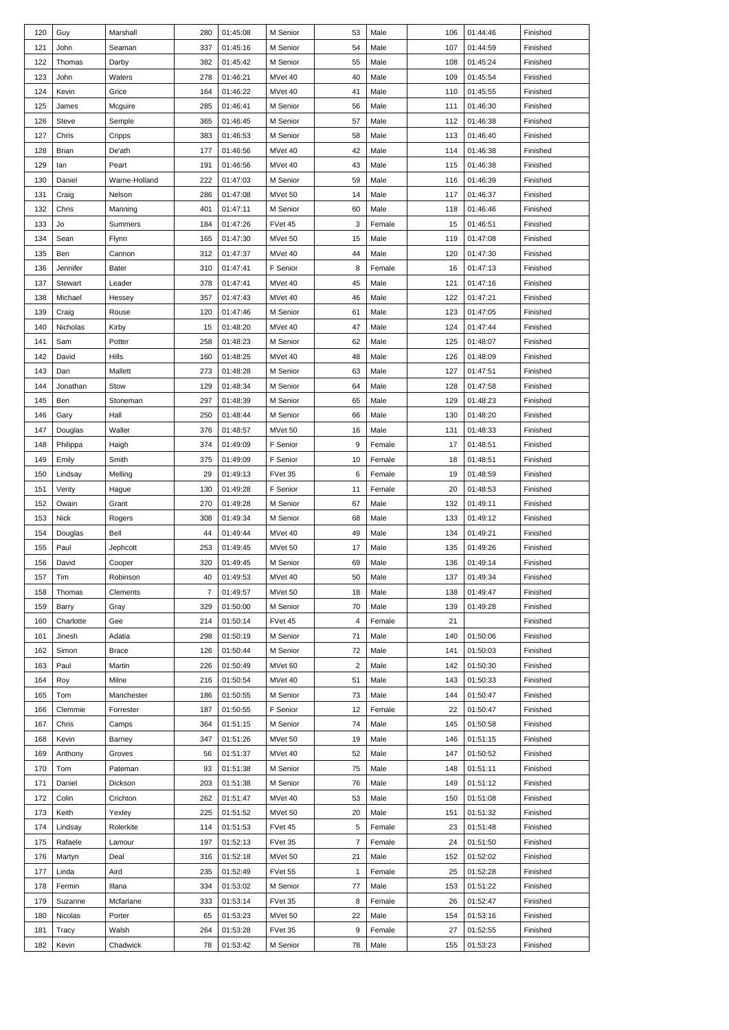| 120 | Guy         | Marshall      | 280            | 01:45:08 | M Senior | 53             | Male   | 106 | 01:44:46 | Finished |
|-----|-------------|---------------|----------------|----------|----------|----------------|--------|-----|----------|----------|
| 121 | John        | Seaman        | 337            | 01:45:16 | M Senior | 54             | Male   | 107 | 01:44:59 | Finished |
| 122 | Thomas      | Darby         | 382            | 01:45:42 | M Senior | 55             | Male   | 108 | 01:45:24 | Finished |
| 123 | John        | Waters        | 278            | 01:46:21 | MVet 40  | 40             | Male   | 109 | 01:45:54 | Finished |
| 124 | Kevin       | Grice         | 164            | 01:46:22 | MVet 40  | 41             | Male   | 110 | 01:45:55 | Finished |
| 125 |             |               | 285            | 01:46:41 | M Senior | 56             | Male   | 111 | 01:46:30 | Finished |
|     | James       | Mcguire       |                |          |          |                |        |     |          |          |
| 126 | Steve       | Semple        | 365            | 01:46:45 | M Senior | 57             | Male   | 112 | 01:46:38 | Finished |
| 127 | Chris       | Cripps        | 383            | 01:46:53 | M Senior | 58             | Male   | 113 | 01:46:40 | Finished |
| 128 | Brian       | De'ath        | 177            | 01:46:56 | MVet 40  | 42             | Male   | 114 | 01:46:38 | Finished |
| 129 | lan         | Peart         | 191            | 01:46:56 | MVet 40  | 43             | Male   | 115 | 01:46:38 | Finished |
| 130 | Daniel      | Warne-Holland | 222            | 01:47:03 | M Senior | 59             | Male   | 116 | 01:46:39 | Finished |
| 131 | Craig       | Nelson        | 286            | 01:47:08 | MVet 50  | 14             | Male   | 117 | 01:46:37 | Finished |
| 132 | Chris       | Manning       | 401            | 01:47:11 | M Senior | 60             | Male   | 118 | 01:46:46 | Finished |
| 133 | Jo          | Summers       | 184            | 01:47:26 | FVet 45  | 3              | Female | 15  | 01:46:51 | Finished |
| 134 | Sean        | Flynn         | 165            | 01:47:30 | MVet 50  | 15             | Male   | 119 | 01:47:08 | Finished |
| 135 | Ben         | Cannon        | 312            | 01:47:37 | MVet 40  | 44             | Male   | 120 | 01:47:30 | Finished |
| 136 | Jennifer    | Bater         | 310            | 01:47:41 | F Senior | 8              | Female | 16  | 01:47:13 | Finished |
| 137 | Stewart     | Leader        | 378            | 01:47:41 | MVet 40  | 45             | Male   | 121 | 01:47:16 | Finished |
| 138 | Michael     | Hessey        | 357            | 01:47:43 | MVet 40  | 46             | Male   | 122 | 01:47:21 | Finished |
| 139 | Craig       | Rouse         | 120            | 01:47:46 | M Senior | 61             | Male   | 123 | 01:47:05 | Finished |
| 140 | Nicholas    | Kirby         | 15             | 01:48:20 | MVet 40  | 47             | Male   | 124 | 01:47:44 | Finished |
|     |             |               |                |          |          |                |        |     |          |          |
| 141 | Sam         | Potter        | 258            | 01:48:23 | M Senior | 62             | Male   | 125 | 01:48:07 | Finished |
| 142 | David       | Hills         | 160            | 01:48:25 | MVet 40  | 48             | Male   | 126 | 01:48:09 | Finished |
| 143 | Dan         | Mallett       | 273            | 01:48:28 | M Senior | 63             | Male   | 127 | 01:47:51 | Finished |
| 144 | Jonathan    | Stow          | 129            | 01:48:34 | M Senior | 64             | Male   | 128 | 01:47:58 | Finished |
| 145 | Ben         | Stoneman      | 297            | 01:48:39 | M Senior | 65             | Male   | 129 | 01:48:23 | Finished |
| 146 | Gary        | Hall          | 250            | 01:48:44 | M Senior | 66             | Male   | 130 | 01:48:20 | Finished |
| 147 | Douglas     | Waller        | 376            | 01:48:57 | MVet 50  | 16             | Male   | 131 | 01:48:33 | Finished |
| 148 | Philippa    | Haigh         | 374            | 01:49:09 | F Senior | 9              | Female | 17  | 01:48:51 | Finished |
| 149 | Emily       | Smith         | 375            | 01:49:09 | F Senior | 10             | Female | 18  | 01:48:51 | Finished |
| 150 | Lindsay     | Melling       | 29             | 01:49:13 | FVet 35  | 6              | Female | 19  | 01:48:59 | Finished |
| 151 | Verity      | Hague         | 130            | 01:49:28 | F Senior | 11             | Female | 20  | 01:48:53 | Finished |
| 152 | Owain       | Grant         | 270            | 01:49:28 | M Senior | 67             | Male   | 132 | 01:49:11 | Finished |
| 153 | <b>Nick</b> | Rogers        | 308            | 01:49:34 | M Senior | 68             | Male   | 133 | 01:49:12 | Finished |
| 154 | Douglas     | Bell          | 44             | 01:49:44 | MVet 40  | 49             | Male   | 134 | 01:49:21 | Finished |
| 155 | Paul        | Jephcott      | 253            | 01:49:45 | MVet 50  | 17             | Male   | 135 | 01:49:26 | Finished |
| 156 | David       | Cooper        | 320            | 01:49:45 | M Senior | 69             | Male   | 136 | 01:49:14 | Finished |
| 157 | Tim         | Robinson      | 40             | 01:49:53 | MVet 40  | 50             | Male   | 137 | 01:49:34 | Finished |
| 158 | Thomas      | Clements      | $\overline{7}$ | 01:49:57 | MVet 50  | 18             | Male   | 138 | 01:49:47 | Finished |
|     |             |               |                |          |          | 70             |        |     | 01:49:28 |          |
| 159 | Barry       | Gray          | 329            | 01:50:00 | M Senior |                | Male   | 139 |          | Finished |
| 160 | Charlotte   | Gee           | 214            | 01:50:14 | FVet 45  | 4              | Female | 21  |          | Finished |
| 161 | Jinesh      | Adatia        | 298            | 01:50:19 | M Senior | 71             | Male   | 140 | 01:50:06 | Finished |
| 162 | Simon       | Brace         | 126            | 01:50:44 | M Senior | 72             | Male   | 141 | 01:50:03 | Finished |
| 163 | Paul        | Martin        | 226            | 01:50:49 | MVet 60  | $\overline{2}$ | Male   | 142 | 01:50:30 | Finished |
| 164 | Roy         | Milne         | 216            | 01:50:54 | MVet 40  | 51             | Male   | 143 | 01:50:33 | Finished |
| 165 | Tom         | Manchester    | 186            | 01:50:55 | M Senior | 73             | Male   | 144 | 01:50:47 | Finished |
| 166 | Clemmie     | Forrester     | 187            | 01:50:55 | F Senior | 12             | Female | 22  | 01:50:47 | Finished |
| 167 | Chris       | Camps         | 364            | 01:51:15 | M Senior | 74             | Male   | 145 | 01:50:58 | Finished |
| 168 | Kevin       | Barney        | 347            | 01:51:26 | MVet 50  | 19             | Male   | 146 | 01:51:15 | Finished |
| 169 | Anthony     | Groves        | 56             | 01:51:37 | MVet 40  | 52             | Male   | 147 | 01:50:52 | Finished |
| 170 | Tom         | Pateman       | 93             | 01:51:38 | M Senior | 75             | Male   | 148 | 01:51:11 | Finished |
| 171 | Daniel      | Dickson       | 203            | 01:51:38 | M Senior | 76             | Male   | 149 | 01:51:12 | Finished |
| 172 | Colin       | Crichton      | 262            | 01:51:47 | MVet 40  | 53             | Male   | 150 | 01:51:08 | Finished |
| 173 | Keith       | Yexley        | 225            | 01:51:52 | MVet 50  | 20             | Male   | 151 | 01:51:32 | Finished |
| 174 | Lindsay     | Rolerkite     | 114            | 01:51:53 | FVet 45  | 5              | Female | 23  | 01:51:48 | Finished |
| 175 | Rafaele     | Lamour        | 197            | 01:52:13 | FVet 35  | $\overline{7}$ | Female | 24  | 01:51:50 | Finished |
| 176 | Martyn      | Deal          | 316            | 01:52:18 | MVet 50  | 21             | Male   | 152 | 01:52:02 | Finished |
| 177 | Linda       | Aird          | 235            | 01:52:49 | FVet 55  | $\mathbf{1}$   | Female | 25  | 01:52:28 | Finished |
| 178 | Fermin      | Illana        | 334            |          | M Senior | 77             | Male   | 153 | 01:51:22 | Finished |
|     |             |               |                | 01:53:02 |          |                |        |     |          |          |
| 179 | Suzanne     | Mcfarlane     | 333            | 01:53:14 | FVet 35  | 8              | Female | 26  | 01:52:47 | Finished |
| 180 | Nicolas     | Porter        | 65             | 01:53:23 | MVet 50  | 22             | Male   | 154 | 01:53:16 | Finished |
| 181 | Tracy       | Walsh         | 264            | 01:53:28 | FVet 35  | 9              | Female | 27  | 01:52:55 | Finished |
| 182 | Kevin       | Chadwick      | 78             | 01:53:42 | M Senior | 78             | Male   | 155 | 01:53:23 | Finished |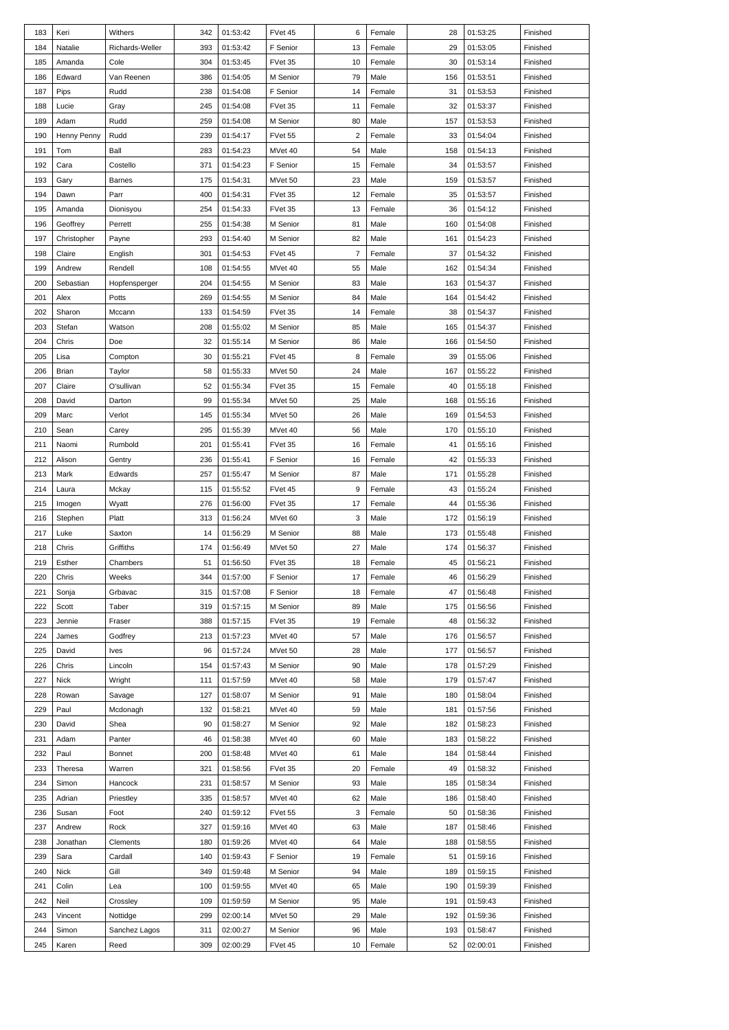| 183 | Keri        | Withers         | 342 | 01:53:42 | FVet 45  | 6              | Female | 28  | 01:53:25 | Finished |
|-----|-------------|-----------------|-----|----------|----------|----------------|--------|-----|----------|----------|
| 184 | Natalie     | Richards-Weller | 393 | 01:53:42 | F Senior | 13             | Female | 29  | 01:53:05 | Finished |
| 185 | Amanda      | Cole            | 304 | 01:53:45 | FVet 35  | 10             | Female | 30  | 01:53:14 | Finished |
| 186 | Edward      | Van Reenen      | 386 | 01:54:05 | M Senior | 79             | Male   | 156 | 01:53:51 | Finished |
| 187 | Pips        | Rudd            | 238 | 01:54:08 | F Senior | 14             | Female | 31  | 01:53:53 | Finished |
| 188 | Lucie       | Gray            | 245 | 01:54:08 | FVet 35  | 11             | Female | 32  | 01:53:37 | Finished |
| 189 | Adam        | Rudd            | 259 | 01:54:08 | M Senior | 80             | Male   | 157 | 01:53:53 | Finished |
|     |             |                 |     |          |          |                |        |     |          |          |
| 190 | Henny Penny | Rudd            | 239 | 01:54:17 | FVet 55  | $\overline{2}$ | Female | 33  | 01:54:04 | Finished |
| 191 | Tom         | Ball            | 283 | 01:54:23 | MVet 40  | 54             | Male   | 158 | 01:54:13 | Finished |
| 192 | Cara        | Costello        | 371 | 01:54:23 | F Senior | 15             | Female | 34  | 01:53:57 | Finished |
| 193 | Gary        | <b>Barnes</b>   | 175 | 01:54:31 | MVet 50  | 23             | Male   | 159 | 01:53:57 | Finished |
| 194 | Dawn        | Parr            | 400 | 01:54:31 | FVet 35  | 12             | Female | 35  | 01:53:57 | Finished |
| 195 | Amanda      | Dionisyou       | 254 | 01:54:33 | FVet 35  | 13             | Female | 36  | 01:54:12 | Finished |
| 196 | Geoffrey    | Perrett         | 255 | 01:54:38 | M Senior | 81             | Male   | 160 | 01:54:08 | Finished |
| 197 | Christopher | Payne           | 293 | 01:54:40 | M Senior | 82             | Male   | 161 | 01:54:23 | Finished |
| 198 | Claire      | English         | 301 | 01:54:53 | FVet 45  | $\overline{7}$ | Female | 37  | 01:54:32 | Finished |
| 199 | Andrew      | Rendell         | 108 | 01:54:55 | MVet 40  | 55             | Male   | 162 | 01:54:34 | Finished |
| 200 | Sebastian   | Hopfensperger   | 204 | 01:54:55 | M Senior | 83             | Male   | 163 | 01:54:37 | Finished |
| 201 | Alex        | Potts           | 269 | 01:54:55 | M Senior | 84             | Male   | 164 | 01:54:42 | Finished |
| 202 | Sharon      | Mccann          | 133 | 01:54:59 | FVet 35  | 14             | Female | 38  | 01:54:37 | Finished |
| 203 |             |                 | 208 | 01:55:02 |          | 85             | Male   |     | 01:54:37 |          |
|     | Stefan      | Watson          |     |          | M Senior |                |        | 165 |          | Finished |
| 204 | Chris       | Doe             | 32  | 01:55:14 | M Senior | 86             | Male   | 166 | 01:54:50 | Finished |
| 205 | Lisa        | Compton         | 30  | 01:55:21 | FVet 45  | 8              | Female | 39  | 01:55:06 | Finished |
| 206 | Brian       | Taylor          | 58  | 01:55:33 | MVet 50  | 24             | Male   | 167 | 01:55:22 | Finished |
| 207 | Claire      | O'sullivan      | 52  | 01:55:34 | FVet 35  | 15             | Female | 40  | 01:55:18 | Finished |
| 208 | David       | Darton          | 99  | 01:55:34 | MVet 50  | 25             | Male   | 168 | 01:55:16 | Finished |
| 209 | Marc        | Verlot          | 145 | 01:55:34 | MVet 50  | 26             | Male   | 169 | 01:54:53 | Finished |
| 210 | Sean        | Carey           | 295 | 01:55:39 | MVet 40  | 56             | Male   | 170 | 01:55:10 | Finished |
| 211 | Naomi       | Rumbold         | 201 | 01:55:41 | FVet 35  | 16             | Female | 41  | 01:55:16 | Finished |
| 212 | Alison      | Gentry          | 236 | 01:55:41 | F Senior | 16             | Female | 42  | 01:55:33 | Finished |
| 213 | Mark        | Edwards         | 257 | 01:55:47 | M Senior | 87             | Male   | 171 | 01:55:28 | Finished |
| 214 | Laura       | Mckay           | 115 | 01:55:52 | FVet 45  | 9              | Female | 43  | 01:55:24 | Finished |
| 215 | Imogen      | Wyatt           | 276 | 01:56:00 | FVet 35  | 17             | Female | 44  | 01:55:36 | Finished |
|     |             |                 |     |          |          |                |        |     |          |          |
| 216 | Stephen     | Platt           | 313 | 01:56:24 | MVet 60  | 3              | Male   | 172 | 01:56:19 | Finished |
| 217 | Luke        | Saxton          | 14  | 01:56:29 | M Senior | 88             | Male   | 173 | 01:55:48 | Finished |
| 218 | Chris       | Griffiths       | 174 | 01:56:49 | MVet 50  | 27             | Male   | 174 | 01:56:37 | Finished |
| 219 | Esther      | Chambers        | 51  | 01:56:50 | FVet 35  | 18             | Female | 45  | 01:56:21 | Finished |
| 220 | Chris       | Weeks           | 344 | 01:57:00 | F Senior | 17             | Female | 46  | 01:56:29 | Finished |
| 221 | Sonja       | Grbavac         | 315 | 01:57:08 | F Senior | 18             | Female | 47  | 01:56:48 | Finished |
| 222 | Scott       | Taber           | 319 | 01:57:15 | M Senior | 89             | Male   | 175 | 01:56:56 | Finished |
| 223 | Jennie      | Fraser          | 388 | 01:57:15 | FVet 35  | 19             | Female | 48  | 01:56:32 | Finished |
| 224 | James       | Godfrey         | 213 | 01:57:23 | MVet 40  | 57             | Male   | 176 | 01:56:57 | Finished |
| 225 | David       | Ives            | 96  | 01:57:24 | MVet 50  | 28             | Male   | 177 | 01:56:57 | Finished |
| 226 | Chris       | Lincoln         | 154 | 01:57:43 | M Senior | 90             | Male   | 178 | 01:57:29 | Finished |
| 227 | Nick        | Wright          | 111 | 01:57:59 | MVet 40  | 58             | Male   | 179 | 01:57:47 | Finished |
| 228 | Rowan       | Savage          | 127 | 01:58:07 | M Senior | 91             | Male   | 180 | 01:58:04 | Finished |
| 229 | Paul        | Mcdonagh        | 132 | 01:58:21 | MVet 40  | 59             | Male   | 181 | 01:57:56 | Finished |
|     |             |                 |     |          |          |                |        |     |          |          |
| 230 | David       | Shea            | 90  | 01:58:27 | M Senior | 92             | Male   | 182 | 01:58:23 | Finished |
| 231 | Adam        | Panter          | 46  | 01:58:38 | MVet 40  | 60             | Male   | 183 | 01:58:22 | Finished |
| 232 | Paul        | Bonnet          | 200 | 01:58:48 | MVet 40  | 61             | Male   | 184 | 01:58:44 | Finished |
| 233 | Theresa     | Warren          | 321 | 01:58:56 | FVet 35  | 20             | Female | 49  | 01:58:32 | Finished |
| 234 | Simon       | Hancock         | 231 | 01:58:57 | M Senior | 93             | Male   | 185 | 01:58:34 | Finished |
| 235 | Adrian      | Priestley       | 335 | 01:58:57 | MVet 40  | 62             | Male   | 186 | 01:58:40 | Finished |
| 236 | Susan       | Foot            | 240 | 01:59:12 | FVet 55  | 3              | Female | 50  | 01:58:36 | Finished |
| 237 | Andrew      | Rock            | 327 | 01:59:16 | MVet 40  | 63             | Male   | 187 | 01:58:46 | Finished |
| 238 | Jonathan    | Clements        | 180 | 01:59:26 | MVet 40  | 64             | Male   | 188 | 01:58:55 | Finished |
| 239 | Sara        | Cardall         | 140 | 01:59:43 | F Senior | 19             | Female | 51  | 01:59:16 | Finished |
| 240 | Nick        | Gill            | 349 | 01:59:48 | M Senior | 94             | Male   | 189 | 01:59:15 | Finished |
| 241 | Colin       | Lea             | 100 | 01:59:55 | MVet 40  | 65             | Male   | 190 | 01:59:39 | Finished |
| 242 | Neil        | Crossley        | 109 | 01:59:59 | M Senior | 95             | Male   | 191 | 01:59:43 | Finished |
|     |             |                 |     |          |          |                |        |     |          |          |
| 243 | Vincent     | Nottidge        | 299 | 02:00:14 | MVet 50  | 29             | Male   | 192 | 01:59:36 | Finished |
| 244 | Simon       | Sanchez Lagos   | 311 | 02:00:27 | M Senior | 96             | Male   | 193 | 01:58:47 | Finished |
| 245 | Karen       | Reed            | 309 | 02:00:29 | FVet 45  | 10             | Female | 52  | 02:00:01 | Finished |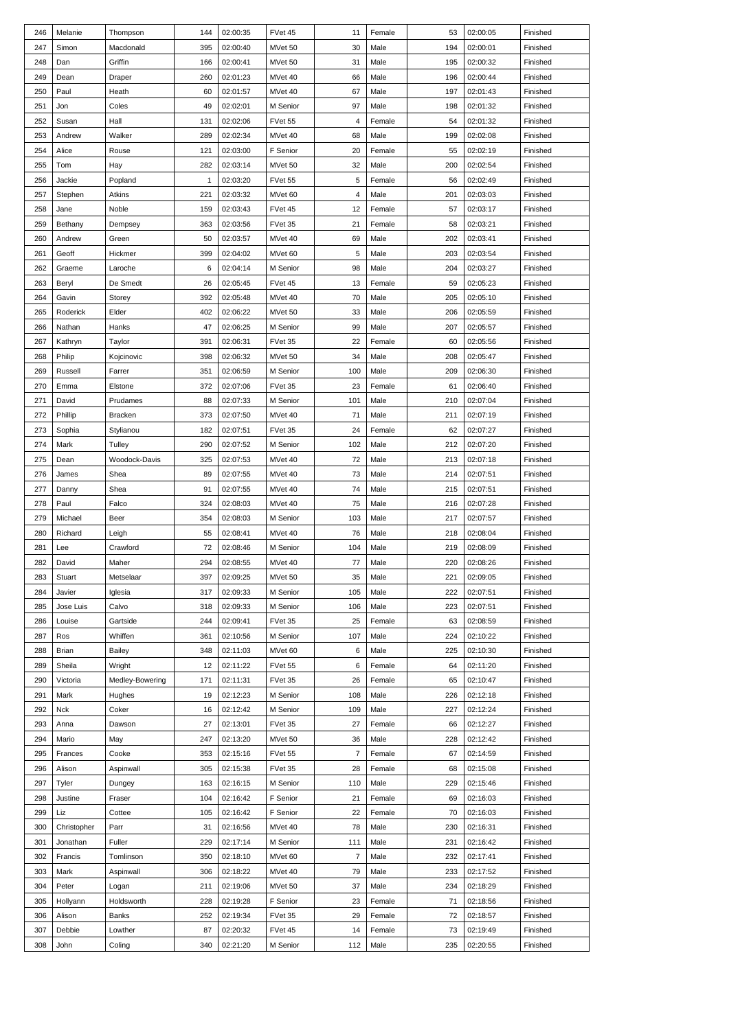| 246 | Melanie     | Thompson        | 144 | 02:00:35 | FVet 45  | 11             | Female | 53  | 02:00:05 | Finished |
|-----|-------------|-----------------|-----|----------|----------|----------------|--------|-----|----------|----------|
| 247 | Simon       | Macdonald       | 395 | 02:00:40 | MVet 50  | 30             | Male   | 194 | 02:00:01 | Finished |
| 248 | Dan         | Griffin         | 166 | 02:00:41 | MVet 50  | 31             | Male   | 195 | 02:00:32 | Finished |
| 249 | Dean        | Draper          | 260 | 02:01:23 | MVet 40  | 66             | Male   | 196 | 02:00:44 | Finished |
| 250 | Paul        | Heath           | 60  | 02:01:57 | MVet 40  | 67             | Male   | 197 | 02:01:43 | Finished |
| 251 |             | Coles           | 49  |          |          | 97             | Male   | 198 |          |          |
|     | Jon         |                 |     | 02:02:01 | M Senior |                |        |     | 02:01:32 | Finished |
| 252 | Susan       | Hall            | 131 | 02:02:06 | FVet 55  | $\overline{4}$ | Female | 54  | 02:01:32 | Finished |
| 253 | Andrew      | Walker          | 289 | 02:02:34 | MVet 40  | 68             | Male   | 199 | 02:02:08 | Finished |
| 254 | Alice       | Rouse           | 121 | 02:03:00 | F Senior | 20             | Female | 55  | 02:02:19 | Finished |
| 255 | Tom         | Hay             | 282 | 02:03:14 | MVet 50  | 32             | Male   | 200 | 02:02:54 | Finished |
| 256 | Jackie      | Popland         | 1   | 02:03:20 | FVet 55  | 5              | Female | 56  | 02:02:49 | Finished |
| 257 | Stephen     | Atkins          | 221 | 02:03:32 | MVet 60  | $\overline{4}$ | Male   | 201 | 02:03:03 | Finished |
| 258 | Jane        | Noble           | 159 | 02:03:43 | FVet 45  | 12             | Female | 57  | 02:03:17 | Finished |
| 259 | Bethany     | Dempsey         | 363 | 02:03:56 | FVet 35  | 21             | Female | 58  | 02:03:21 | Finished |
| 260 | Andrew      | Green           | 50  | 02:03:57 | MVet 40  | 69             | Male   | 202 | 02:03:41 | Finished |
| 261 | Geoff       | Hickmer         | 399 | 02:04:02 | MVet 60  | $\sqrt{5}$     | Male   | 203 | 02:03:54 | Finished |
| 262 | Graeme      | Laroche         | 6   | 02:04:14 | M Senior | 98             | Male   | 204 | 02:03:27 | Finished |
| 263 | Beryl       | De Smedt        | 26  | 02:05:45 | FVet 45  | 13             | Female | 59  | 02:05:23 | Finished |
| 264 | Gavin       | Storey          | 392 | 02:05:48 | MVet 40  | 70             | Male   | 205 | 02:05:10 | Finished |
| 265 | Roderick    | Elder           | 402 | 02:06:22 | MVet 50  | 33             | Male   | 206 | 02:05:59 | Finished |
|     |             |                 |     | 02:06:25 |          |                |        |     |          |          |
| 266 | Nathan      | Hanks           | 47  |          | M Senior | 99             | Male   | 207 | 02:05:57 | Finished |
| 267 | Kathryn     | Taylor          | 391 | 02:06:31 | FVet 35  | 22             | Female | 60  | 02:05:56 | Finished |
| 268 | Philip      | Kojcinovic      | 398 | 02:06:32 | MVet 50  | 34             | Male   | 208 | 02:05:47 | Finished |
| 269 | Russell     | Farrer          | 351 | 02:06:59 | M Senior | 100            | Male   | 209 | 02:06:30 | Finished |
| 270 | Emma        | Elstone         | 372 | 02:07:06 | FVet 35  | 23             | Female | 61  | 02:06:40 | Finished |
| 271 | David       | Prudames        | 88  | 02:07:33 | M Senior | 101            | Male   | 210 | 02:07:04 | Finished |
| 272 | Phillip     | <b>Bracken</b>  | 373 | 02:07:50 | MVet 40  | 71             | Male   | 211 | 02:07:19 | Finished |
| 273 | Sophia      | Stylianou       | 182 | 02:07:51 | FVet 35  | 24             | Female | 62  | 02:07:27 | Finished |
| 274 | Mark        | Tulley          | 290 | 02:07:52 | M Senior | 102            | Male   | 212 | 02:07:20 | Finished |
| 275 | Dean        | Woodock-Davis   | 325 | 02:07:53 | MVet 40  | 72             | Male   | 213 | 02:07:18 | Finished |
| 276 | James       | Shea            | 89  | 02:07:55 | MVet 40  | 73             | Male   | 214 | 02:07:51 | Finished |
| 277 | Danny       | Shea            | 91  | 02:07:55 | MVet 40  | 74             | Male   | 215 | 02:07:51 | Finished |
| 278 | Paul        | Falco           | 324 | 02:08:03 | MVet 40  | 75             | Male   | 216 | 02:07:28 | Finished |
| 279 | Michael     |                 | 354 | 02:08:03 |          | 103            | Male   | 217 | 02:07:57 |          |
|     |             | Beer            |     |          | M Senior |                |        |     |          | Finished |
| 280 | Richard     | Leigh           | 55  | 02:08:41 | MVet 40  | 76             | Male   | 218 | 02:08:04 | Finished |
| 281 | Lee         | Crawford        | 72  | 02:08:46 | M Senior | 104            | Male   | 219 | 02:08:09 | Finished |
| 282 | David       | Maher           | 294 | 02:08:55 | MVet 40  | 77             | Male   | 220 | 02:08:26 | Finished |
| 283 | Stuart      | Metselaar       | 397 | 02:09:25 | MVet 50  | 35             | Male   | 221 | 02:09:05 | Finished |
| 284 | Javier      | Iglesia         | 317 | 02:09:33 | M Senior | 105            | Male   | 222 | 02:07:51 | Finished |
| 285 | Jose Luis   | Calvo           | 318 | 02:09:33 | M Senior | 106            | Male   | 223 | 02:07:51 | Finished |
| 286 | Louise      | Gartside        | 244 | 02:09:41 | FVet 35  | 25             | Female | 63  | 02:08:59 | Finished |
| 287 | Ros         | Whiffen         | 361 | 02:10:56 | M Senior | 107            | Male   | 224 | 02:10:22 | Finished |
| 288 | Brian       | Bailey          | 348 | 02:11:03 | MVet 60  | 6              | Male   | 225 | 02:10:30 | Finished |
| 289 | Sheila      | Wright          | 12  | 02:11:22 | FVet 55  | 6              | Female | 64  | 02:11:20 | Finished |
| 290 | Victoria    | Medley-Bowering | 171 | 02:11:31 | FVet 35  | 26             | Female | 65  | 02:10:47 | Finished |
| 291 | Mark        | Hughes          | 19  | 02:12:23 | M Senior | 108            | Male   | 226 | 02:12:18 | Finished |
| 292 | Nck         | Coker           | 16  | 02:12:42 | M Senior | 109            | Male   | 227 | 02:12:24 | Finished |
| 293 | Anna        | Dawson          | 27  | 02:13:01 | FVet 35  | 27             | Female | 66  | 02:12:27 | Finished |
| 294 | Mario       | May             | 247 | 02:13:20 | MVet 50  | 36             | Male   | 228 | 02:12:42 | Finished |
| 295 | Frances     | Cooke           | 353 |          | FVet 55  | $\overline{7}$ | Female | 67  | 02:14:59 | Finished |
|     |             |                 |     | 02:15:16 |          |                |        |     |          |          |
| 296 | Alison      | Aspinwall       | 305 | 02:15:38 | FVet 35  | 28             | Female | 68  | 02:15:08 | Finished |
| 297 | Tyler       | Dungey          | 163 | 02:16:15 | M Senior | 110            | Male   | 229 | 02:15:46 | Finished |
| 298 | Justine     | Fraser          | 104 | 02:16:42 | F Senior | 21             | Female | 69  | 02:16:03 | Finished |
| 299 | Liz         | Cottee          | 105 | 02:16:42 | F Senior | 22             | Female | 70  | 02:16:03 | Finished |
| 300 | Christopher | Parr            | 31  | 02:16:56 | MVet 40  | 78             | Male   | 230 | 02:16:31 | Finished |
| 301 | Jonathan    | Fuller          | 229 | 02:17:14 | M Senior | 111            | Male   | 231 | 02:16:42 | Finished |
| 302 | Francis     | Tomlinson       | 350 | 02:18:10 | MVet 60  | $\overline{7}$ | Male   | 232 | 02:17:41 | Finished |
| 303 | Mark        | Aspinwall       | 306 | 02:18:22 | MVet 40  | 79             | Male   | 233 | 02:17:52 | Finished |
| 304 | Peter       | Logan           | 211 | 02:19:06 | MVet 50  | 37             | Male   | 234 | 02:18:29 | Finished |
| 305 | Hollyann    | Holdsworth      | 228 | 02:19:28 | F Senior | 23             | Female | 71  | 02:18:56 | Finished |
| 306 | Alison      | Banks           | 252 | 02:19:34 | FVet 35  | 29             | Female | 72  | 02:18:57 | Finished |
| 307 | Debbie      | Lowther         | 87  | 02:20:32 | FVet 45  | 14             | Female | 73  | 02:19:49 | Finished |
|     |             |                 |     |          |          |                |        |     |          |          |
| 308 | John        | Coling          | 340 | 02:21:20 | M Senior | 112            | Male   | 235 | 02:20:55 | Finished |